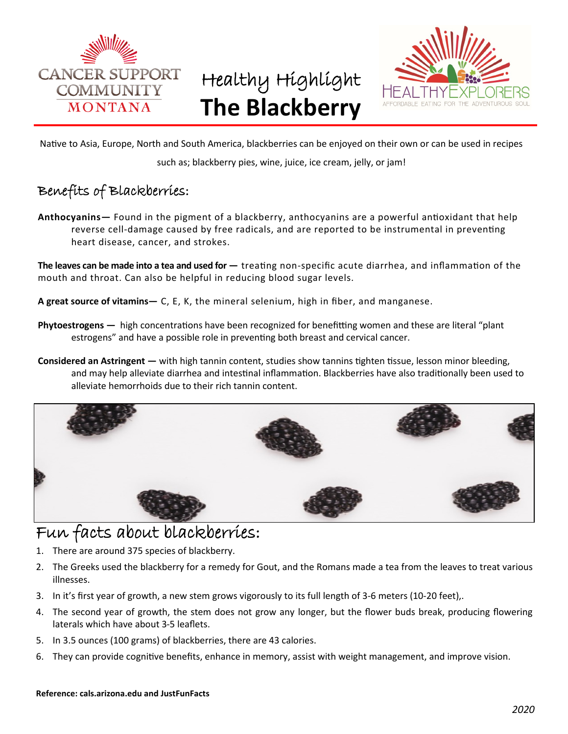

# Healthy Highlight **The Blackberry**



Native to Asia, Europe, North and South America, blackberries can be enjoyed on their own or can be used in recipes

such as; blackberry pies, wine, juice, ice cream, jelly, or jam!

### Benefits of Blackberries:

**Anthocyanins—** Found in the pigment of a blackberry, anthocyanins are a powerful antioxidant that help reverse cell-damage caused by free radicals, and are reported to be instrumental in preventing heart disease, cancer, and strokes.

**The leaves can be made into a tea and used for —** treating non-specific acute diarrhea, and inflammation of the mouth and throat. Can also be helpful in reducing blood sugar levels.

**A great source of vitamins—** C, E, K, the mineral selenium, high in fiber, and manganese.

- **Phytoestrogens —** high concentrations have been recognized for benefitting women and these are literal "plant estrogens" and have a possible role in preventing both breast and cervical cancer.
- **Considered an Astringent —** with high tannin content, studies show tannins tighten tissue, lesson minor bleeding, and may help alleviate diarrhea and intestinal inflammation. Blackberries have also traditionally been used to alleviate hemorrhoids due to their rich tannin content.



## Fun facts about blackberries:

- 1. There are around 375 species of blackberry.
- 2. The Greeks used the blackberry for a remedy for Gout, and the Romans made a tea from the leaves to treat various illnesses.
- 3. In it's first year of growth, a new stem grows vigorously to its full length of 3-6 meters (10-20 feet),.
- 4. The second year of growth, the stem does not grow any longer, but the flower buds break, producing flowering laterals which have about 3-5 leaflets.
- 5. In 3.5 ounces (100 grams) of blackberries, there are 43 calories.
- 6. They can provide cognitive benefits, enhance in memory, assist with weight management, and improve vision.